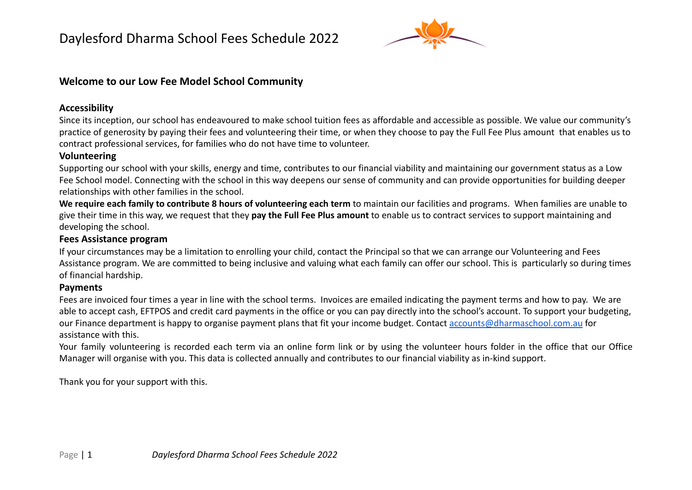

## **Welcome to our Low Fee Model School Community**

#### **Accessibility**

Since its inception, our school has endeavoured to make school tuition fees as affordable and accessible as possible. We value our community's practice of generosity by paying their fees and volunteering their time, or when they choose to pay the Full Fee Plus amount that enables us to contract professional services, for families who do not have time to volunteer.

### **Volunteering**

Supporting our school with your skills, energy and time, contributes to our financial viability and maintaining our government status as a Low Fee School model. Connecting with the school in this way deepens our sense of community and can provide opportunities for building deeper relationships with other families in the school.

**We require each family to contribute 8 hours of volunteering each term** to maintain our facilities and programs. When families are unable to give their time in this way, we request that they **pay the Full Fee Plus amount** to enable us to contract services to support maintaining and developing the school.

### **Fees Assistance program**

If your circumstances may be a limitation to enrolling your child, contact the Principal so that we can arrange our Volunteering and Fees Assistance program. We are committed to being inclusive and valuing what each family can offer our school. This is particularly so during times of financial hardship.

### **Payments**

Fees are invoiced four times a year in line with the school terms. Invoices are emailed indicating the payment terms and how to pay. We are able to accept cash, EFTPOS and credit card payments in the office or you can pay directly into the school's account. To support your budgeting, our Finance department is happy to organise payment plans that fit your income budget. Contact [accounts@dharmaschool.com.au](mailto:accounts@dharmaschool.com.au) for assistance with this.

Your family volunteering is recorded each term via an online form link or by using the volunteer hours folder in the office that our Office Manager will organise with you. This data is collected annually and contributes to our financial viability as in-kind support.

Thank you for your support with this.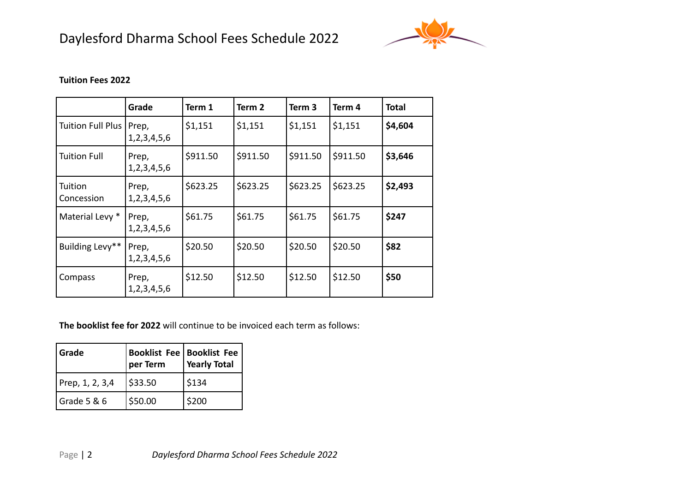# Daylesford Dharma School Fees Schedule 2022



#### **Tuition Fees 2022**

|                       | Grade                     | Term 1   | Term 2   | Term 3   | Term 4   | <b>Total</b> |
|-----------------------|---------------------------|----------|----------|----------|----------|--------------|
| Tuition Full Plus     | Prep,<br>1, 2, 3, 4, 5, 6 | \$1,151  | \$1,151  | \$1,151  | \$1,151  | \$4,604      |
| <b>Tuition Full</b>   | Prep,<br>1, 2, 3, 4, 5, 6 | \$911.50 | \$911.50 | \$911.50 | \$911.50 | \$3,646      |
| Tuition<br>Concession | Prep,<br>1, 2, 3, 4, 5, 6 | \$623.25 | \$623.25 | \$623.25 | \$623.25 | \$2,493      |
| Material Levy *       | Prep,<br>1, 2, 3, 4, 5, 6 | \$61.75  | \$61.75  | \$61.75  | \$61.75  | \$247        |
| Building Levy**       | Prep,<br>1, 2, 3, 4, 5, 6 | \$20.50  | \$20.50  | \$20.50  | \$20.50  | \$82         |
| Compass               | Prep,<br>1, 2, 3, 4, 5, 6 | \$12.50  | \$12.50  | \$12.50  | \$12.50  | \$50         |

**The booklist fee for 2022** will continue to be invoiced each term as follows:

| Grade           | <b>Booklist Fee   Booklist Fee</b><br>per Term | <b>Yearly Total</b> |
|-----------------|------------------------------------------------|---------------------|
| Prep, 1, 2, 3,4 | \$33.50                                        | \$134               |
| Grade 5 & 6     | \$50.00                                        | \$200               |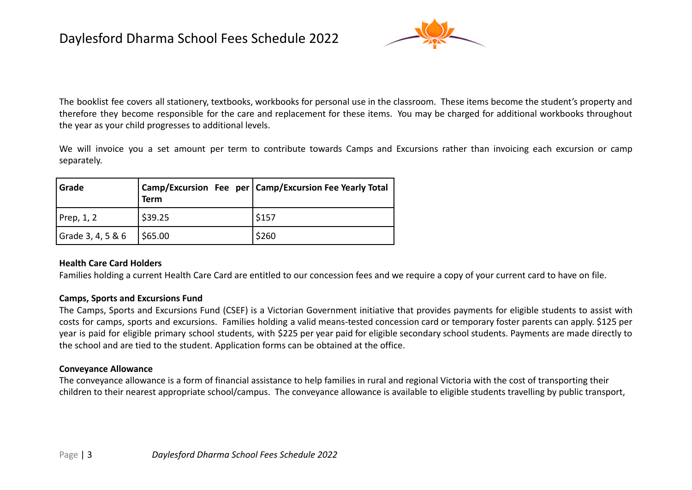

The booklist fee covers all stationery, textbooks, workbooks for personal use in the classroom. These items become the student's property and therefore they become responsible for the care and replacement for these items. You may be charged for additional workbooks throughout the year as your child progresses to additional levels.

We will invoice you a set amount per term to contribute towards Camps and Excursions rather than invoicing each excursion or camp separately.

| Grade             | <b>Term</b> | Camp/Excursion Fee per Camp/Excursion Fee Yearly Total |
|-------------------|-------------|--------------------------------------------------------|
| Prep, $1, 2$      | \$39.25     | 5157                                                   |
| Grade 3, 4, 5 & 6 | 565.00      | \$260                                                  |

#### **Health Care Card Holders**

Families holding a current Health Care Card are entitled to our concession fees and we require a copy of your current card to have on file.

#### **Camps, Sports and Excursions Fund**

The Camps, Sports and Excursions Fund (CSEF) is a Victorian Government initiative that provides payments for eligible students to assist with costs for camps, sports and excursions. Families holding a valid means-tested concession card or temporary foster parents can apply. \$125 per year is paid for eligible primary school students, with \$225 per year paid for eligible secondary school students. Payments are made directly to the school and are tied to the student. Application forms can be obtained at the office.

#### **Conveyance Allowance**

The conveyance allowance is a form of financial assistance to help families in rural and regional Victoria with the cost of transporting their children to their nearest appropriate school/campus. The conveyance allowance is available to eligible students travelling by public transport,